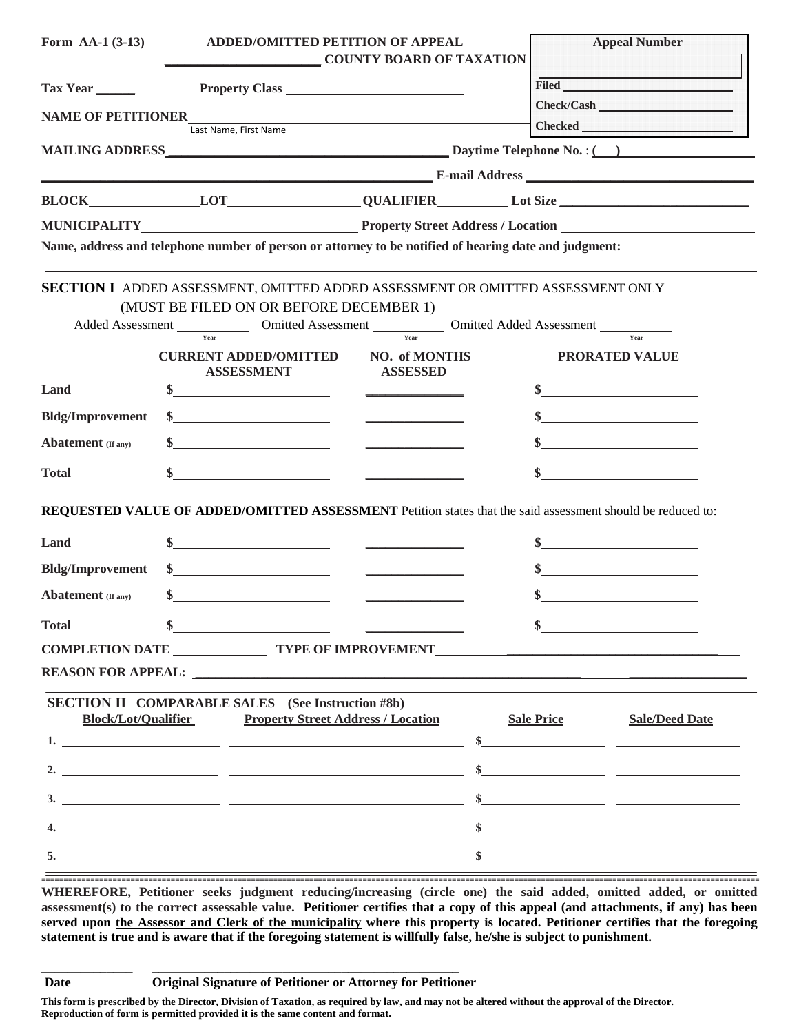| Form AA-1 $(3-13)$                                                                                         | <b>ADDED/OMITTED PETITION OF APPEAL</b>                                                                              |                                                                                                         | <b>Appeal Number</b>                                                                                                 |  |
|------------------------------------------------------------------------------------------------------------|----------------------------------------------------------------------------------------------------------------------|---------------------------------------------------------------------------------------------------------|----------------------------------------------------------------------------------------------------------------------|--|
|                                                                                                            |                                                                                                                      | <b>COUNTY BOARD OF TAXATION</b>                                                                         |                                                                                                                      |  |
| Tax Year                                                                                                   |                                                                                                                      |                                                                                                         | <b>Filed</b> Filed                                                                                                   |  |
| <b>NAME OF PETITIONER</b>                                                                                  |                                                                                                                      |                                                                                                         | Check/Cash                                                                                                           |  |
|                                                                                                            | Last Name, First Name                                                                                                |                                                                                                         |                                                                                                                      |  |
|                                                                                                            |                                                                                                                      |                                                                                                         |                                                                                                                      |  |
|                                                                                                            |                                                                                                                      |                                                                                                         |                                                                                                                      |  |
|                                                                                                            |                                                                                                                      |                                                                                                         |                                                                                                                      |  |
|                                                                                                            |                                                                                                                      |                                                                                                         |                                                                                                                      |  |
|                                                                                                            | Name, address and telephone number of person or attorney to be notified of hearing date and judgment:                |                                                                                                         |                                                                                                                      |  |
|                                                                                                            | <b>SECTION I</b> ADDED ASSESSMENT, OMITTED ADDED ASSESSMENT OR OMITTED ASSESSMENT ONLY                               |                                                                                                         |                                                                                                                      |  |
|                                                                                                            | (MUST BE FILED ON OR BEFORE DECEMBER 1)                                                                              |                                                                                                         |                                                                                                                      |  |
| Added Assessment Charles Comitted Assessment Charles Comitted Added Assessment Charles Charles Communities |                                                                                                                      |                                                                                                         |                                                                                                                      |  |
|                                                                                                            | <b>CURRENT ADDED/OMITTED</b><br><b>ASSESSMENT</b>                                                                    | NO. of MONTHS<br><b>ASSESSED</b>                                                                        | <b>PRORATED VALUE</b>                                                                                                |  |
| Land                                                                                                       |                                                                                                                      |                                                                                                         | <u> 1989 - John Stone, amerikansk politiker (</u>                                                                    |  |
| <b>Bldg/Improvement</b>                                                                                    |                                                                                                                      |                                                                                                         |                                                                                                                      |  |
| <b>Abatement</b> (If any)                                                                                  |                                                                                                                      |                                                                                                         |                                                                                                                      |  |
| <b>Total</b>                                                                                               |                                                                                                                      |                                                                                                         |                                                                                                                      |  |
|                                                                                                            |                                                                                                                      |                                                                                                         |                                                                                                                      |  |
|                                                                                                            | REQUESTED VALUE OF ADDED/OMITTED ASSESSMENT Petition states that the said assessment should be reduced to:           |                                                                                                         |                                                                                                                      |  |
| Land                                                                                                       |                                                                                                                      | $\frac{1}{2}$ and $\frac{1}{2}$ and $\frac{1}{2}$ and $\frac{1}{2}$ and $\frac{1}{2}$ and $\frac{1}{2}$ | <u> 1989 - Jan Stein Stein Stein Stein Stein Stein Stein Stein Stein Stein Stein Stein Stein Stein Stein Stein S</u> |  |
| <b>Bldg/Improvement</b>                                                                                    | <u> 1989 - Jan Stein Stein Stein Stein Stein Stein Stein Stein Stein Stein Stein Stein Stein Stein Stein Stein S</u> |                                                                                                         | <u> 1990 - Andrea Station Books, amerikansk politik (d. 1980)</u>                                                    |  |
| <b>Abatement</b> (If any)                                                                                  | <u> 1980 - Jan Stein Stein Stein Stein Stein Stein Stein Stein Stein Stein Stein Stein Stein Stein Stein Stein S</u> |                                                                                                         |                                                                                                                      |  |
| <b>Total</b>                                                                                               |                                                                                                                      |                                                                                                         |                                                                                                                      |  |
| COMPLETION DATE TYPE OF IMPROVEMENT                                                                        |                                                                                                                      |                                                                                                         |                                                                                                                      |  |
|                                                                                                            | <b>REASON FOR APPEAL:</b>                                                                                            |                                                                                                         |                                                                                                                      |  |
|                                                                                                            | <b>SECTION II COMPARABLE SALES</b> (See Instruction #8b)                                                             |                                                                                                         |                                                                                                                      |  |
| <b>Block/Lot/Qualifier</b>                                                                                 | <b>Property Street Address / Location</b>                                                                            |                                                                                                         | <b>Sale/Deed Date</b><br><b>Sale Price</b>                                                                           |  |
|                                                                                                            |                                                                                                                      |                                                                                                         | $\sim$                                                                                                               |  |
|                                                                                                            |                                                                                                                      |                                                                                                         |                                                                                                                      |  |
|                                                                                                            | 3.                                                                                                                   |                                                                                                         |                                                                                                                      |  |
|                                                                                                            | <u> 1989 - Johann John Stein, mars an deus Amerikaansk kommunister (* 1950)</u>                                      |                                                                                                         |                                                                                                                      |  |
|                                                                                                            | $5.$ $$$                                                                                                             |                                                                                                         |                                                                                                                      |  |
|                                                                                                            |                                                                                                                      |                                                                                                         |                                                                                                                      |  |

**WHEREFORE, Petitioner seeks judgment reducing/increasing (circle one) the said added, omitted added, or omitted assessment(s) to the correct assessable value. Petitioner certifies that a copy of this appeal (and attachments, if any) has been served upon the Assessor and Clerk of the municipality where this property is located. Petitioner certifies that the foregoing statement is true and is aware that if the foregoing statement is willfully false, he/she is subject to punishment.** 

**\_\_\_\_\_\_\_\_\_\_\_\_\_\_ \_\_\_\_\_\_\_\_\_\_\_\_\_\_\_\_\_\_\_\_\_\_\_\_\_\_\_\_\_\_\_\_\_\_\_\_\_\_\_\_\_\_\_\_\_\_\_ Date Original Signature of Petitioner or Attorney for Petitioner**

**This form is prescribed by the Director, Division of Taxation, as required by law, and may not be altered without the approval of the Director. Reproduction of form is permitted provided it is the same content and format.**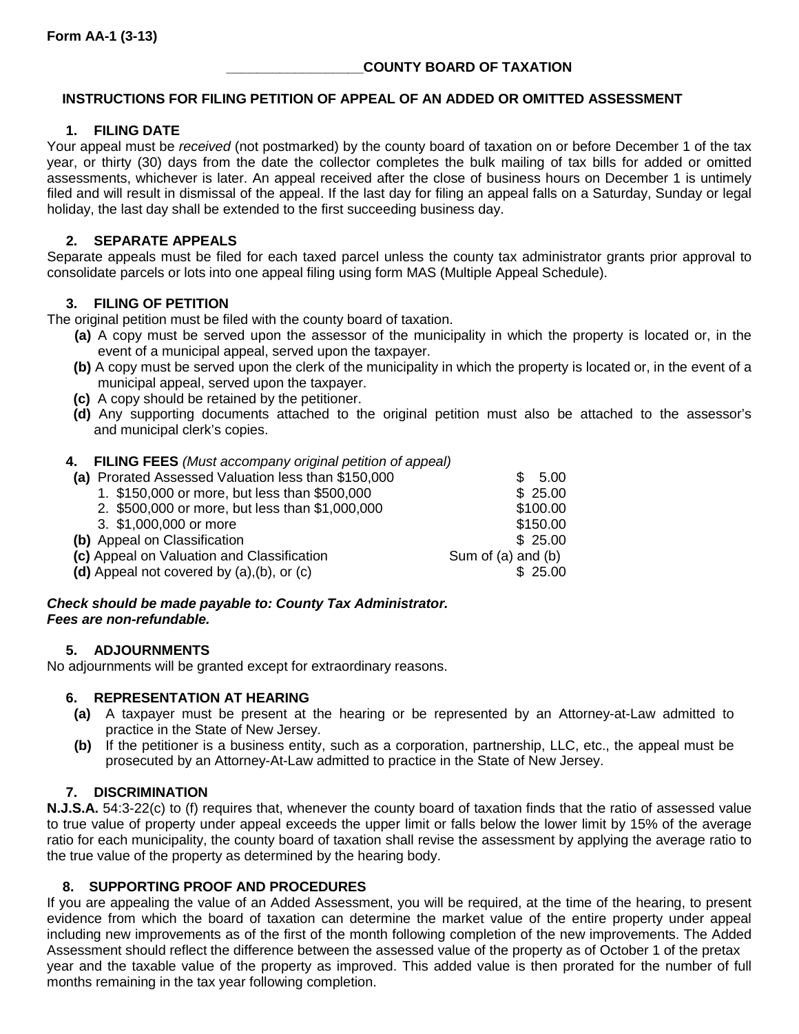# **\_\_\_\_\_\_\_\_\_\_\_\_\_\_\_\_\_\_COUNTY BOARD OF TAXATION**

# **INSTRUCTIONS FOR FILING PETITION OF APPEAL OF AN ADDED OR OMITTED ASSESSMENT**

# **1. FILING DATE**

Your appeal must be *received* (not postmarked) by the county board of taxation on or before December 1 of the tax year, or thirty (30) days from the date the collector completes the bulk mailing of tax bills for added or omitted assessments, whichever is later. An appeal received after the close of business hours on December 1 is untimely filed and will result in dismissal of the appeal. If the last day for filing an appeal falls on a Saturday, Sunday or legal holiday, the last day shall be extended to the first succeeding business day.

# **2. SEPARATE APPEALS**

Separate appeals must be filed for each taxed parcel unless the county tax administrator grants prior approval to consolidate parcels or lots into one appeal filing using form MAS (Multiple Appeal Schedule).

# **3. FILING OF PETITION**

The original petition must be filed with the county board of taxation.

- **(a)** A copy must be served upon the assessor of the municipality in which the property is located or, in the event of a municipal appeal, served upon the taxpayer.
- **(b)** A copy must be served upon the clerk of the municipality in which the property is located or, in the event of a municipal appeal, served upon the taxpayer.
- **(c)** A copy should be retained by the petitioner.
- **(d)** Any supporting documents attached to the original petition must also be attached to the assessor's and municipal clerk's copies.

# **4. FILING FEES** *(Must accompany original petition of appeal)*

| (a) Prorated Assessed Valuation less than \$150,000 | \$5.00             |
|-----------------------------------------------------|--------------------|
| 1. \$150,000 or more, but less than \$500,000       | \$25.00            |
| 2. \$500,000 or more, but less than \$1,000,000     | \$100.00           |
| 3. \$1,000,000 or more                              | \$150.00           |
| (b) Appeal on Classification                        | \$25.00            |
| (c) Appeal on Valuation and Classification          | Sum of (a) and (b) |
| (d) Appeal not covered by (a), (b), or (c)          | \$25.00            |
|                                                     |                    |

## *Check should be made payable to: County Tax Administrator. Fees are non-refundable.*

# **5. ADJOURNMENTS**

No adjournments will be granted except for extraordinary reasons.

## **6. REPRESENTATION AT HEARING**

- **(a)** A taxpayer must be present at the hearing or be represented by an Attorney-at-Law admitted to practice in the State of New Jersey.
- **(b)** If the petitioner is a business entity, such as a corporation, partnership, LLC, etc., the appeal must be prosecuted by an Attorney-At-Law admitted to practice in the State of New Jersey.

# **7. DISCRIMINATION**

**N.J.S.A.** 54:3-22(c) to (f) requires that, whenever the county board of taxation finds that the ratio of assessed value to true value of property under appeal exceeds the upper limit or falls below the lower limit by 15% of the average ratio for each municipality, the county board of taxation shall revise the assessment by applying the average ratio to the true value of the property as determined by the hearing body.

# **8. SUPPORTING PROOF AND PROCEDURES**

If you are appealing the value of an Added Assessment, you will be required, at the time of the hearing, to present evidence from which the board of taxation can determine the market value of the entire property under appeal including new improvements as of the first of the month following completion of the new improvements. The Added Assessment should reflect the difference between the assessed value of the property as of October 1 of the pretax year and the taxable value of the property as improved. This added value is then prorated for the number of full months remaining in the tax year following completion.